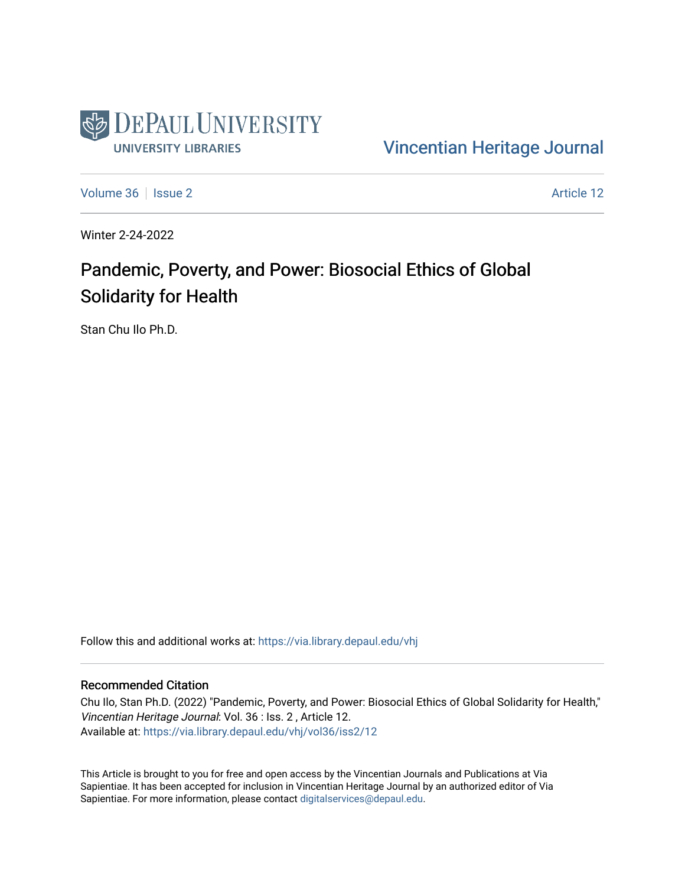

[Vincentian Heritage Journal](https://via.library.depaul.edu/vhj) 

[Volume 36](https://via.library.depaul.edu/vhj/vol36) | [Issue 2](https://via.library.depaul.edu/vhj/vol36/iss2) Article 12

Winter 2-24-2022

# Pandemic, Poverty, and Power: Biosocial Ethics of Global Solidarity for Health

Stan Chu Ilo Ph.D.

Follow this and additional works at: [https://via.library.depaul.edu/vhj](https://via.library.depaul.edu/vhj?utm_source=via.library.depaul.edu%2Fvhj%2Fvol36%2Fiss2%2F12&utm_medium=PDF&utm_campaign=PDFCoverPages) 

#### Recommended Citation

Chu Ilo, Stan Ph.D. (2022) "Pandemic, Poverty, and Power: Biosocial Ethics of Global Solidarity for Health," Vincentian Heritage Journal: Vol. 36 : Iss. 2 , Article 12. Available at: [https://via.library.depaul.edu/vhj/vol36/iss2/12](https://via.library.depaul.edu/vhj/vol36/iss2/12?utm_source=via.library.depaul.edu%2Fvhj%2Fvol36%2Fiss2%2F12&utm_medium=PDF&utm_campaign=PDFCoverPages)

This Article is brought to you for free and open access by the Vincentian Journals and Publications at Via Sapientiae. It has been accepted for inclusion in Vincentian Heritage Journal by an authorized editor of Via Sapientiae. For more information, please contact [digitalservices@depaul.edu](mailto:digitalservices@depaul.edu).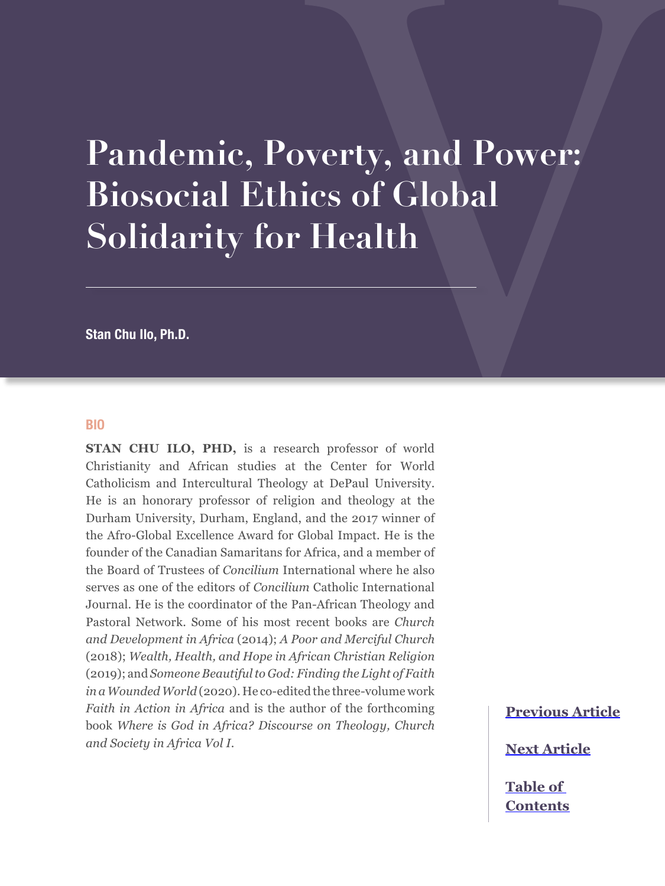# **Pandemic, Poverty, and Power: Biosocial Ethics of Global Solidarity for Health**

**Stan Chu Ilo, Ph.D.**

#### **BIO**

**STAN CHU ILO, PHD,** is a research professor of world Christianity and African studies at the Center for World Catholicism and Intercultural Theology at DePaul University. He is an honorary professor of religion and theology at the Durham University, Durham, England, and the 2017 winner of the Afro-Global Excellence Award for Global Impact. He is the founder of the Canadian Samaritans for Africa, and a member of the Board of Trustees of *Concilium* International where he also serves as one of the editors of *Concilium* Catholic International Journal. He is the coordinator of the Pan-African Theology and Pastoral Network. Some of his most recent books are *Church and Development in Africa* (2014); *A Poor and Merciful Church* (2018); *Wealth, Health, and Hope in African Christian Religion* (2019); and *Someone Beautiful to God: Finding the Light of Faith in a Wounded World* (2020). He co-edited the three-volume work *Faith in Action in Africa* and is the author of the forthcoming book *Where is God in Africa? Discourse on Theology, Church and Society in Africa Vol I*.

**[Previous Article](#page--1-0)**

**[Next Article](#page--1-0)**

**[Table of](#page--1-0)  [Contents](#page--1-0)**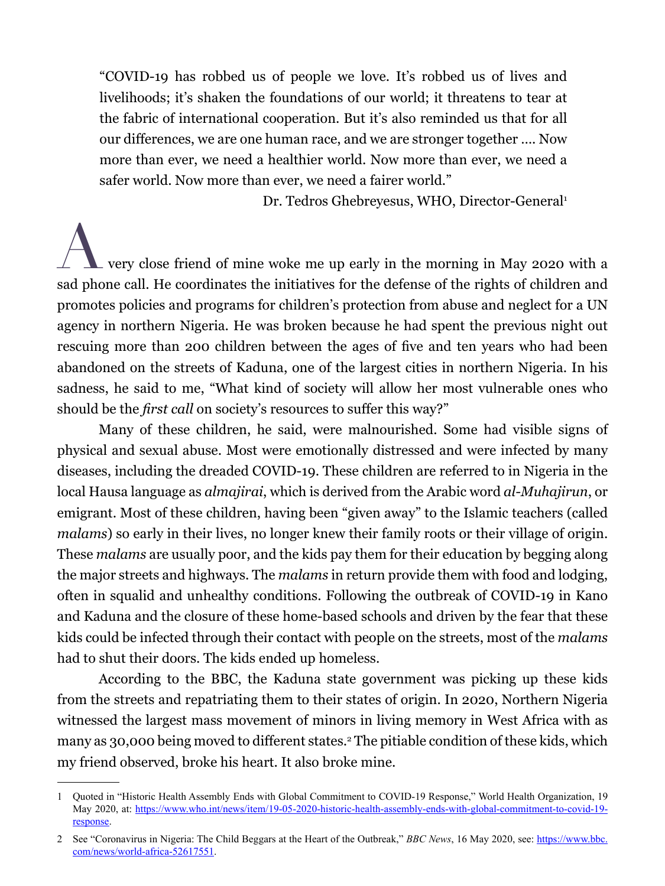"COVID-19 has robbed us of people we love. It's robbed us of lives and livelihoods; it's shaken the foundations of our world; it threatens to tear at the fabric of international cooperation. But it's also reminded us that for all our differences, we are one human race, and we are stronger together …. Now more than ever, we need a healthier world. Now more than ever, we need a safer world. Now more than ever, we need a fairer world."

Dr. Tedros Ghebreyesus, WHO, Director-General<sup>1</sup>

 $\sim$  very close friend of mine woke me up early in the morning in May 2020 with a sad phone call. He coordinates the initiatives for the defense of the rights of children and promotes policies and programs for children's protection from abuse and neglect for a UN agency in northern Nigeria. He was broken because he had spent the previous night out rescuing more than 200 children between the ages of five and ten years who had been abandoned on the streets of Kaduna, one of the largest cities in northern Nigeria. In his sadness, he said to me, "What kind of society will allow her most vulnerable ones who should be the *first call* on society's resources to suffer this way?"

Many of these children, he said, were malnourished. Some had visible signs of physical and sexual abuse. Most were emotionally distressed and were infected by many diseases, including the dreaded COVID-19. These children are referred to in Nigeria in the local Hausa language as *almajirai*, which is derived from the Arabic word *al-Muhajirun*, or emigrant. Most of these children, having been "given away" to the Islamic teachers (called *malams*) so early in their lives, no longer knew their family roots or their village of origin. These *malams* are usually poor, and the kids pay them for their education by begging along the major streets and highways. The *malams* in return provide them with food and lodging, often in squalid and unhealthy conditions. Following the outbreak of COVID-19 in Kano and Kaduna and the closure of these home-based schools and driven by the fear that these kids could be infected through their contact with people on the streets, most of the *malams* had to shut their doors. The kids ended up homeless.

According to the BBC, the Kaduna state government was picking up these kids from the streets and repatriating them to their states of origin. In 2020, Northern Nigeria witnessed the largest mass movement of minors in living memory in West Africa with as many as 30,000 being moved to different states.<sup>2</sup> The pitiable condition of these kids, which my friend observed, broke his heart. It also broke mine.

<sup>1</sup> Quoted in "Historic Health Assembly Ends with Global Commitment to COVID-19 Response," World Health Organization, 19 May 2020, at: [https://www.who.int/news/item/19-05-2020-historic-health-assembly-ends-with-global-commitment-to-covid-19](https://www.who.int/news/item/19-05-2020-historic-health-assembly-ends-with-global-commitment-to-covid-19-response) [response.](https://www.who.int/news/item/19-05-2020-historic-health-assembly-ends-with-global-commitment-to-covid-19-response)

<sup>2</sup> See "Coronavirus in Nigeria: The Child Beggars at the Heart of the Outbreak," *BBC News*, 16 May 2020, see: [https://www.bbc.](https://www.bbc.com/news/world-africa-52617551) [com/news/world-africa-52617551](https://www.bbc.com/news/world-africa-52617551).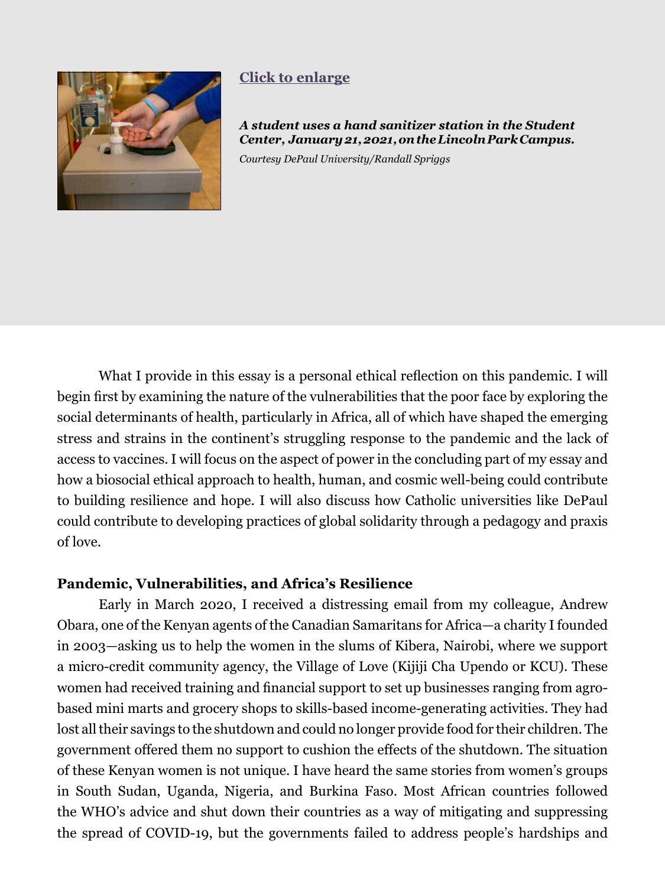<span id="page-3-0"></span>

# **[Click to enlarge](#page-19-0)**

*A student uses a hand sanitizer station in the Student Center, January 21, 2021, on the Lincoln Park Campus.* 

*Courtesy DePaul University/Randall Spriggs*

What I provide in this essay is a personal ethical reflection on this pandemic. I will begin first by examining the nature of the vulnerabilities that the poor face by exploring the social determinants of health, particularly in Africa, all of which have shaped the emerging stress and strains in the continent's struggling response to the pandemic and the lack of access to vaccines. I will focus on the aspect of power in the concluding part of my essay and how a biosocial ethical approach to health, human, and cosmic well-being could contribute to building resilience and hope. I will also discuss how Catholic universities like DePaul could contribute to developing practices of global solidarity through a pedagogy and praxis of love.

# **Pandemic, Vulnerabilities, and Africa's Resilience**

Early in March 2020, I received a distressing email from my colleague, Andrew Obara, one of the Kenyan agents of the Canadian Samaritans for Africa—a charity I founded in 2003—asking us to help the women in the slums of Kibera, Nairobi, where we support a micro-credit community agency, the Village of Love (Kijiji Cha Upendo or KCU). These women had received training and financial support to set up businesses ranging from agrobased mini marts and grocery shops to skills-based income-generating activities. They had lost all their savings to the shutdown and could no longer provide food for their children. The government offered them no support to cushion the effects of the shutdown. The situation of these Kenyan women is not unique. I have heard the same stories from women's groups in South Sudan, Uganda, Nigeria, and Burkina Faso. Most African countries followed the WHO's advice and shut down their countries as a way of mitigating and suppressing the spread of COVID-19, but the governments failed to address people's hardships and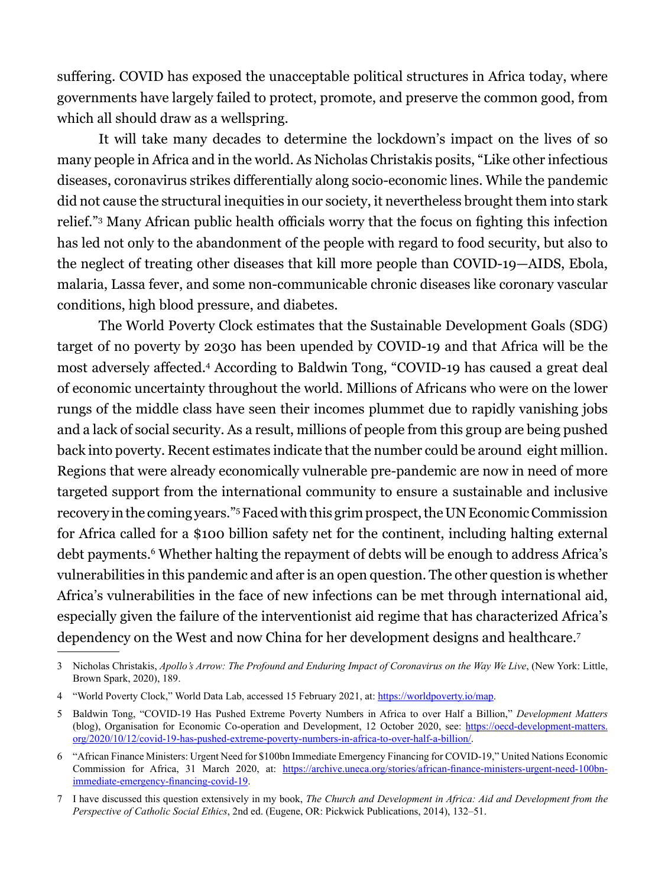suffering. COVID has exposed the unacceptable political structures in Africa today, where governments have largely failed to protect, promote, and preserve the common good, from which all should draw as a wellspring.

It will take many decades to determine the lockdown's impact on the lives of so many people in Africa and in the world. As Nicholas Christakis posits, "Like other infectious diseases, coronavirus strikes differentially along socio-economic lines. While the pandemic did not cause the structural inequities in our society, it nevertheless brought them into stark relief."3 Many African public health officials worry that the focus on fighting this infection has led not only to the abandonment of the people with regard to food security, but also to the neglect of treating other diseases that kill more people than COVID-19—AIDS, Ebola, malaria, Lassa fever, and some non-communicable chronic diseases like coronary vascular conditions, high blood pressure, and diabetes.

The World Poverty Clock estimates that the Sustainable Development Goals (SDG) target of no poverty by 2030 has been upended by COVID-19 and that Africa will be the most adversely affected.<sup>4</sup> According to Baldwin Tong, "COVID-19 has caused a great deal of economic uncertainty throughout the world. Millions of Africans who were on the lower rungs of the middle class have seen their incomes plummet due to rapidly vanishing jobs and a lack of social security. As a result, millions of people from this group are being pushed back into poverty. Recent estimates indicate that the number could be around eight million. Regions that were already economically vulnerable pre-pandemic are now in need of more targeted support from the international community to ensure a sustainable and inclusive recovery in the coming years."5 Faced with this grim prospect, the UN Economic Commission for Africa called for a \$100 billion safety net for the continent, including halting external debt payments.<sup>6</sup> Whether halting the repayment of debts will be enough to address Africa's vulnerabilities in this pandemic and after is an open question. The other question is whether Africa's vulnerabilities in the face of new infections can be met through international aid, especially given the failure of the interventionist aid regime that has characterized Africa's dependency on the West and now China for her development designs and healthcare.7

<sup>3</sup> Nicholas Christakis, *Apollo's Arrow: The Profound and Enduring Impact of Coronavirus on the Way We Live*, (New York: Little, Brown Spark, 2020), 189.

<sup>4 &</sup>quot;World Poverty Clock," World Data Lab, accessed 15 February 2021, at: [https://worldpoverty.io/map.](https://worldpoverty.io/map)

<sup>5</sup> Baldwin Tong, "COVID-19 Has Pushed Extreme Poverty Numbers in Africa to over Half a Billion," *Development Matters*  (blog), Organisation for Economic Co-operation and Development, 12 October 2020, see: [https://oecd-development-matters.](https://oecd-development-matters.org/2020/10/12/covid-19-has-pushed-extreme-poverty-numbers-in-africa-to-over-half-a-billion/) [org/2020/10/12/covid-19-has-pushed-extreme-poverty-numbers-in-africa-to-over-half-a-billion/](https://oecd-development-matters.org/2020/10/12/covid-19-has-pushed-extreme-poverty-numbers-in-africa-to-over-half-a-billion/).

<sup>6</sup> "African Finance Ministers: Urgent Need for \$100bn Immediate Emergency Financing for COVID-19," United Nations Economic Commission for Africa, 31 March 2020, at: [https://archive.uneca.org/stories/african-finance-ministers-urgent-need-100bn](https://archive.uneca.org/stories/african-finance-ministers-urgent-need-100bn-immediate-emergency-financing-covid-19)[immediate-emergency-financing-covid-19](https://archive.uneca.org/stories/african-finance-ministers-urgent-need-100bn-immediate-emergency-financing-covid-19).

<sup>7</sup> I have discussed this question extensively in my book, *The Church and Development in Africa: Aid and Development from the Perspective of Catholic Social Ethics*, 2nd ed. (Eugene, OR: Pickwick Publications, 2014), 132–51.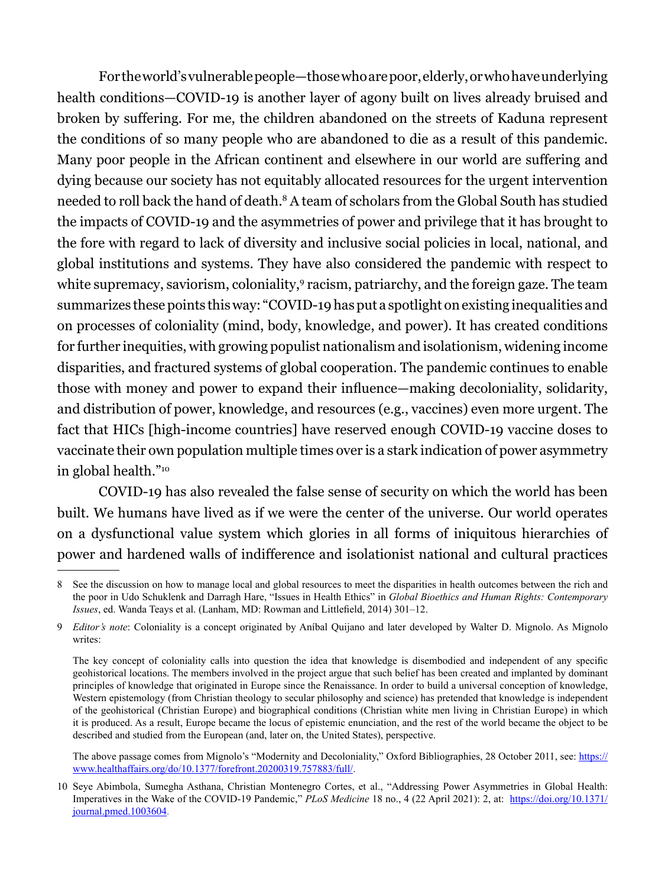For the world's vulnerable people—those who are poor, elderly, or who have underlying health conditions—COVID-19 is another layer of agony built on lives already bruised and broken by suffering. For me, the children abandoned on the streets of Kaduna represent the conditions of so many people who are abandoned to die as a result of this pandemic. Many poor people in the African continent and elsewhere in our world are suffering and dying because our society has not equitably allocated resources for the urgent intervention needed to roll back the hand of death.8 A team of scholars from the Global South has studied the impacts of COVID-19 and the asymmetries of power and privilege that it has brought to the fore with regard to lack of diversity and inclusive social policies in local, national, and global institutions and systems. They have also considered the pandemic with respect to white supremacy, saviorism, coloniality,<sup>9</sup> racism, patriarchy, and the foreign gaze. The team summarizes these points this way: "COVID-19 has put a spotlight on existing inequalities and on processes of coloniality (mind, body, knowledge, and power). It has created conditions for further inequities, with growing populist nationalism and isolationism, widening income disparities, and fractured systems of global cooperation. The pandemic continues to enable those with money and power to expand their influence—making decoloniality, solidarity, and distribution of power, knowledge, and resources (e.g., vaccines) even more urgent. The fact that HICs [high-income countries] have reserved enough COVID-19 vaccine doses to vaccinate their own population multiple times over is a stark indication of power asymmetry in global health."10

COVID-19 has also revealed the false sense of security on which the world has been built. We humans have lived as if we were the center of the universe. Our world operates on a dysfunctional value system which glories in all forms of iniquitous hierarchies of power and hardened walls of indifference and isolationist national and cultural practices

The above passage comes from Mignolo's "Modernity and Decoloniality," Oxford Bibliographies, 28 October 2011, see: https:// www.healthaffairs.org/do/10.1377/forefront.20200319.757883/full/.

<sup>8</sup> See the discussion on how to manage local and global resources to meet the disparities in health outcomes between the rich and the poor in Udo Schuklenk and Darragh Hare, "Issues in Health Ethics" in *Global Bioethics and Human Rights: Contemporary Issues*, ed. Wanda Teays et al. (Lanham, MD: Rowman and Littlefield, 2014) 301–12.

<sup>9</sup> *Editor's note*: Coloniality is a concept originated by Aníbal Quijano and later developed by Walter D. Mignolo. As Mignolo writes:

The key concept of coloniality calls into question the idea that knowledge is disembodied and independent of any specific geohistorical locations. The members involved in the project argue that such belief has been created and implanted by dominant principles of knowledge that originated in Europe since the Renaissance. In order to build a universal conception of knowledge, Western epistemology (from Christian theology to secular philosophy and science) has pretended that knowledge is independent of the geohistorical (Christian Europe) and biographical conditions (Christian white men living in Christian Europe) in which it is produced. As a result, Europe became the locus of epistemic enunciation, and the rest of the world became the object to be described and studied from the European (and, later on, the United States), perspective.

<sup>10</sup> Seye Abimbola, Sumegha Asthana, Christian Montenegro Cortes, et al., "Addressing Power Asymmetries in Global Health: Imperatives in the Wake of the COVID-19 Pandemic," *PLoS Medicine* 18 no., 4 (22 April 2021): 2, at: [https://doi.org/10.1371/](https://doi.org/10.1371/journal.pmed.1003604) [journal.pmed.1003604.](https://doi.org/10.1371/journal.pmed.1003604)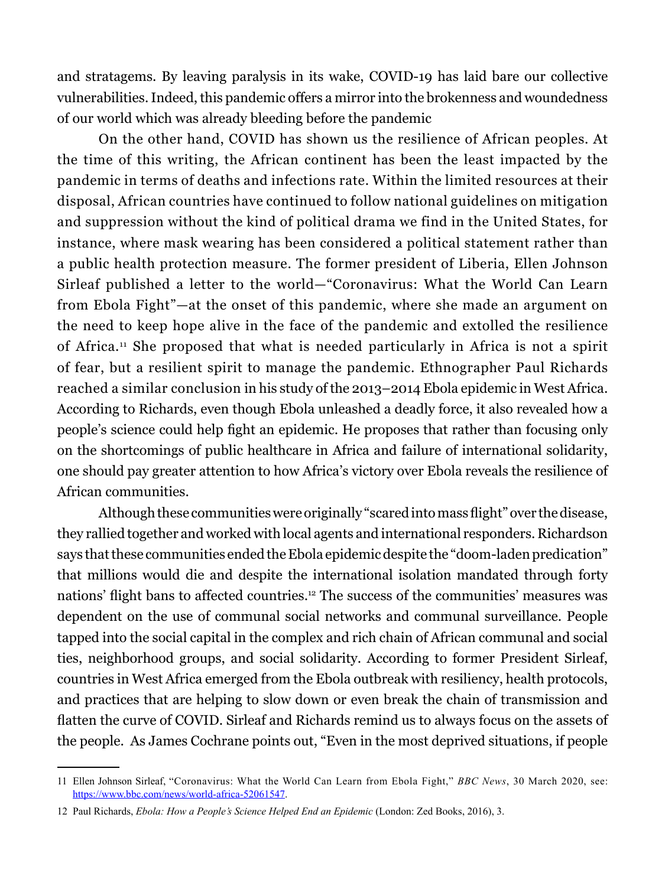and stratagems. By leaving paralysis in its wake, COVID-19 has laid bare our collective vulnerabilities. Indeed, this pandemic offers a mirror into the brokenness and woundedness of our world which was already bleeding before the pandemic

On the other hand, COVID has shown us the resilience of African peoples. At the time of this writing, the African continent has been the least impacted by the pandemic in terms of deaths and infections rate. Within the limited resources at their disposal, African countries have continued to follow national guidelines on mitigation and suppression without the kind of political drama we find in the United States, for instance, where mask wearing has been considered a political statement rather than a public health protection measure. The former president of Liberia, Ellen Johnson Sirleaf published a letter to the world—"Coronavirus: What the World Can Learn from Ebola Fight"—at the onset of this pandemic, where she made an argument on the need to keep hope alive in the face of the pandemic and extolled the resilience of Africa.11 She proposed that what is needed particularly in Africa is not a spirit of fear, but a resilient spirit to manage the pandemic. Ethnographer Paul Richards reached a similar conclusion in his study of the 2013–2014 Ebola epidemic in West Africa. According to Richards, even though Ebola unleashed a deadly force, it also revealed how a people's science could help fight an epidemic. He proposes that rather than focusing only on the shortcomings of public healthcare in Africa and failure of international solidarity, one should pay greater attention to how Africa's victory over Ebola reveals the resilience of African communities.

Although these communities were originally "scared into mass flight" over the disease, they rallied together and worked with local agents and international responders. Richardson says that these communities ended the Ebola epidemic despite the "doom-laden predication" that millions would die and despite the international isolation mandated through forty nations' flight bans to affected countries.<sup>12</sup> The success of the communities' measures was dependent on the use of communal social networks and communal surveillance. People tapped into the social capital in the complex and rich chain of African communal and social ties, neighborhood groups, and social solidarity. According to former President Sirleaf, countries in West Africa emerged from the Ebola outbreak with resiliency, health protocols, and practices that are helping to slow down or even break the chain of transmission and flatten the curve of COVID. Sirleaf and Richards remind us to always focus on the assets of the people. As James Cochrane points out, "Even in the most deprived situations, if people

<sup>11</sup> Ellen Johnson Sirleaf, "Coronavirus: What the World Can Learn from Ebola Fight," *BBC News*, 30 March 2020, see: <https://www.bbc.com/news/world-africa-52061547>.

<sup>12</sup> Paul Richards, *Ebola: How a People's Science Helped End an Epidemic* (London: Zed Books, 2016), 3.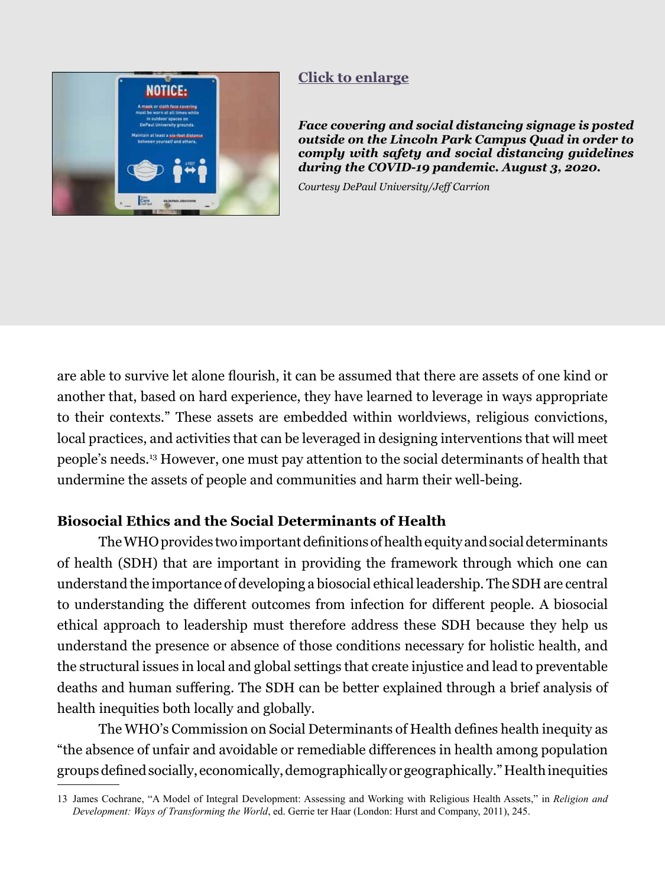<span id="page-7-0"></span>

## **[Click to enlarge](#page-20-0)**

*Face covering and social distancing signage is posted outside on the Lincoln Park Campus Quad in order to comply with safety and social distancing guidelines during the COVID-19 pandemic. August 3, 2020.* 

*Courtesy DePaul University/Jeff Carrion*

are able to survive let alone flourish, it can be assumed that there are assets of one kind or another that, based on hard experience, they have learned to leverage in ways appropriate to their contexts." These assets are embedded within worldviews, religious convictions, local practices, and activities that can be leveraged in designing interventions that will meet people's needs.13 However, one must pay attention to the social determinants of health that undermine the assets of people and communities and harm their well-being.

#### **Biosocial Ethics and the Social Determinants of Health**

The WHO provides two important definitions of health equity and social determinants of health (SDH) that are important in providing the framework through which one can understand the importance of developing a biosocial ethical leadership. The SDH are central to understanding the different outcomes from infection for different people. A biosocial ethical approach to leadership must therefore address these SDH because they help us understand the presence or absence of those conditions necessary for holistic health, and the structural issues in local and global settings that create injustice and lead to preventable deaths and human suffering. The SDH can be better explained through a brief analysis of health inequities both locally and globally.

The WHO's Commission on Social Determinants of Health defines health inequity as "the absence of unfair and avoidable or remediable differences in health among population groups defined socially, economically, demographically or geographically." Health inequities

<sup>13</sup> James Cochrane, "A Model of Integral Development: Assessing and Working with Religious Health Assets," in *Religion and Development: Ways of Transforming the World*, ed. Gerrie ter Haar (London: Hurst and Company, 2011), 245.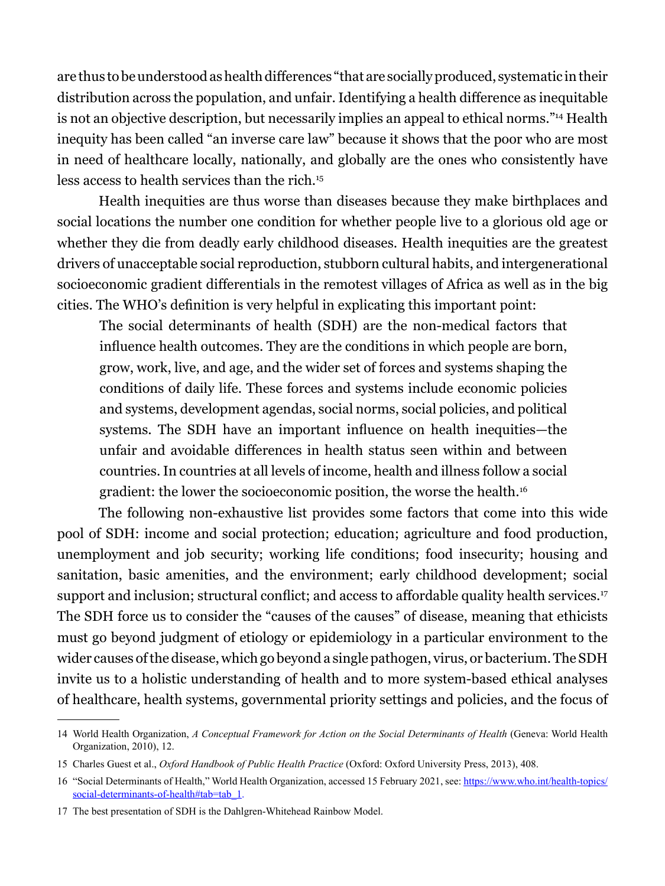are thus to be understood as health differences "that are socially produced, systematic in their distribution across the population, and unfair. Identifying a health difference as inequitable is not an objective description, but necessarily implies an appeal to ethical norms."14 Health inequity has been called "an inverse care law" because it shows that the poor who are most in need of healthcare locally, nationally, and globally are the ones who consistently have less access to health services than the rich.15

Health inequities are thus worse than diseases because they make birthplaces and social locations the number one condition for whether people live to a glorious old age or whether they die from deadly early childhood diseases. Health inequities are the greatest drivers of unacceptable social reproduction, stubborn cultural habits, and intergenerational socioeconomic gradient differentials in the remotest villages of Africa as well as in the big cities. The WHO's definition is very helpful in explicating this important point:

The social determinants of health (SDH) are the non-medical factors that influence health outcomes. They are the conditions in which people are born, grow, work, live, and age, and the wider set of forces and systems shaping the conditions of daily life. These forces and systems include economic policies and systems, development agendas, social norms, social policies, and political systems. The SDH have an important influence on health inequities—the unfair and avoidable differences in health status seen within and between countries. In countries at all levels of income, health and illness follow a social gradient: the lower the socioeconomic position, the worse the health.16

The following non-exhaustive list provides some factors that come into this wide pool of SDH: income and social protection; education; agriculture and food production, unemployment and job security; working life conditions; food insecurity; housing and sanitation, basic amenities, and the environment; early childhood development; social support and inclusion; structural conflict; and access to affordable quality health services.<sup>17</sup> The SDH force us to consider the "causes of the causes" of disease, meaning that ethicists must go beyond judgment of etiology or epidemiology in a particular environment to the wider causes of the disease, which go beyond a single pathogen, virus, or bacterium. The SDH invite us to a holistic understanding of health and to more system-based ethical analyses of healthcare, health systems, governmental priority settings and policies, and the focus of

<sup>14</sup> World Health Organization, *A Conceptual Framework for Action on the Social Determinants of Health* (Geneva: World Health Organization, 2010), 12.

<sup>15</sup> Charles Guest et al., *Oxford Handbook of Public Health Practice* (Oxford: Oxford University Press, 2013), 408.

<sup>16</sup> "Social Determinants of Health," World Health Organization, accessed 15 February 2021, see: [https://www.who.int/health-topics/](https://www.who.int/health-topics/social-determinants-of-health#tab=tab_1.) [social-determinants-of-health#tab=tab\\_1](https://www.who.int/health-topics/social-determinants-of-health#tab=tab_1.).

<sup>17</sup> The best presentation of SDH is the Dahlgren-Whitehead Rainbow Model.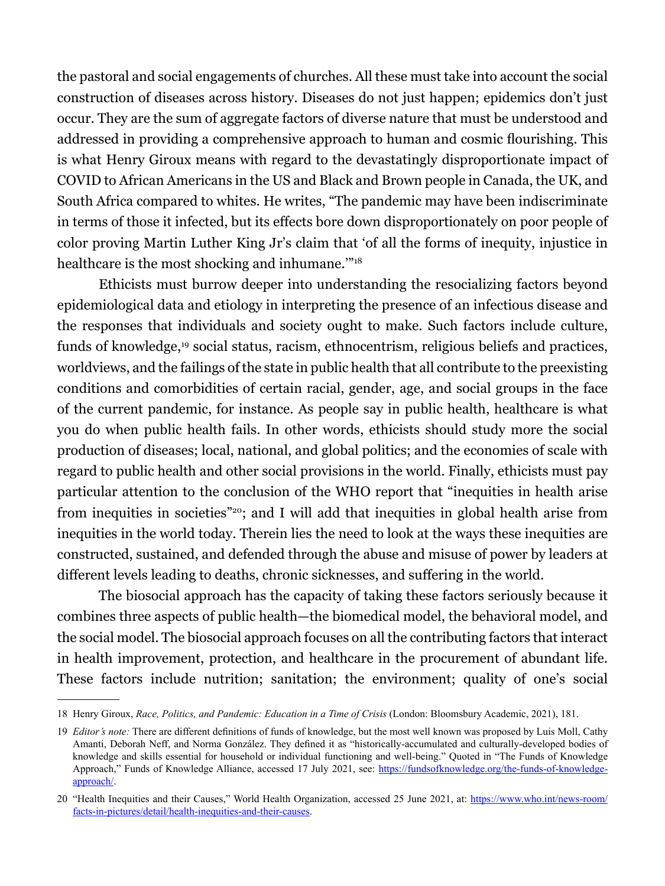the pastoral and social engagements of churches. All these must take into account the social construction of diseases across history. Diseases do not just happen; epidemics don't just occur. They are the sum of aggregate factors of diverse nature that must be understood and addressed in providing a comprehensive approach to human and cosmic flourishing. This is what Henry Giroux means with regard to the devastatingly disproportionate impact of COVID to African Americans in the US and Black and Brown people in Canada, the UK, and South Africa compared to whites. He writes, "The pandemic may have been indiscriminate in terms of those it infected, but its effects bore down disproportionately on poor people of color proving Martin Luther King Jr's claim that 'of all the forms of inequity, injustice in healthcare is the most shocking and inhumane."<sup>18</sup>

Ethicists must burrow deeper into understanding the resocializing factors beyond epidemiological data and etiology in interpreting the presence of an infectious disease and the responses that individuals and society ought to make. Such factors include culture, funds of knowledge,19 social status, racism, ethnocentrism, religious beliefs and practices, worldviews, and the failings of the state in public health that all contribute to the preexisting conditions and comorbidities of certain racial, gender, age, and social groups in the face of the current pandemic, for instance. As people say in public health, healthcare is what you do when public health fails. In other words, ethicists should study more the social production of diseases; local, national, and global politics; and the economies of scale with regard to public health and other social provisions in the world. Finally, ethicists must pay particular attention to the conclusion of the WHO report that "inequities in health arise from inequities in societies"20; and I will add that inequities in global health arise from inequities in the world today. Therein lies the need to look at the ways these inequities are constructed, sustained, and defended through the abuse and misuse of power by leaders at different levels leading to deaths, chronic sicknesses, and suffering in the world.

The biosocial approach has the capacity of taking these factors seriously because it combines three aspects of public health—the biomedical model, the behavioral model, and the social model. The biosocial approach focuses on all the contributing factors that interact in health improvement, protection, and healthcare in the procurement of abundant life. These factors include nutrition; sanitation; the environment; quality of one's social

<sup>18</sup> Henry Giroux, *Race, Politics, and Pandemic: Education in a Time of Crisis* (London: Bloomsbury Academic, 2021), 181.

<sup>19</sup> *Editor's note:* There are different definitions of funds of knowledge, but the most well known was proposed by Luis Moll, Cathy Amanti, Deborah Neff, and Norma González. They defined it as "historically-accumulated and culturally-developed bodies of knowledge and skills essential for household or individual functioning and well-being." Quoted in "The Funds of Knowledge Approach," Funds of Knowledge Alliance, accessed 17 July 2021, see: https://fundsofknowledge.org/the-funds-of-knowledge[approach/](https://fundsofknowledge.org/the-funds-of-knowledge-approach/).

<sup>20</sup> "Health Inequities and their Causes," World Health Organization, accessed 25 June 2021, at: [https://www.who.int/news-room/](https://www.who.int/news-room/facts-in-pictures/detail/health-inequities-and-their-causes) [facts-in-pictures/detail/health-inequities-and-their-causes.](https://www.who.int/news-room/facts-in-pictures/detail/health-inequities-and-their-causes)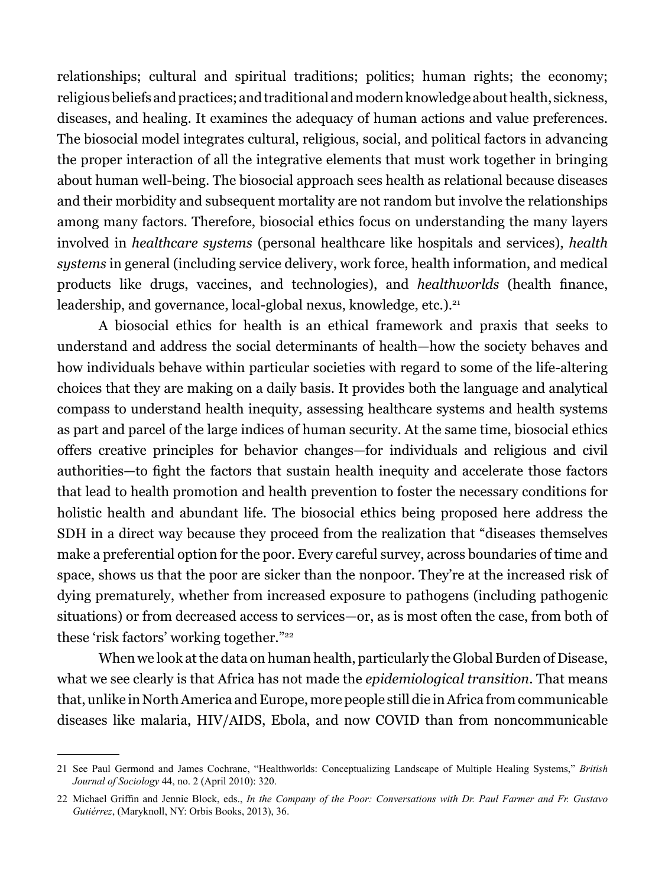relationships; cultural and spiritual traditions; politics; human rights; the economy; religious beliefs and practices; and traditional and modern knowledge about health, sickness, diseases, and healing. It examines the adequacy of human actions and value preferences. The biosocial model integrates cultural, religious, social, and political factors in advancing the proper interaction of all the integrative elements that must work together in bringing about human well-being. The biosocial approach sees health as relational because diseases and their morbidity and subsequent mortality are not random but involve the relationships among many factors. Therefore, biosocial ethics focus on understanding the many layers involved in *healthcare systems* (personal healthcare like hospitals and services), *health systems* in general (including service delivery, work force, health information, and medical products like drugs, vaccines, and technologies), and *healthworlds* (health finance, leadership, and governance, local-global nexus, knowledge, etc.).<sup>21</sup>

A biosocial ethics for health is an ethical framework and praxis that seeks to understand and address the social determinants of health—how the society behaves and how individuals behave within particular societies with regard to some of the life-altering choices that they are making on a daily basis. It provides both the language and analytical compass to understand health inequity, assessing healthcare systems and health systems as part and parcel of the large indices of human security. At the same time, biosocial ethics offers creative principles for behavior changes—for individuals and religious and civil authorities—to fight the factors that sustain health inequity and accelerate those factors that lead to health promotion and health prevention to foster the necessary conditions for holistic health and abundant life. The biosocial ethics being proposed here address the SDH in a direct way because they proceed from the realization that "diseases themselves make a preferential option for the poor. Every careful survey, across boundaries of time and space, shows us that the poor are sicker than the nonpoor. They're at the increased risk of dying prematurely, whether from increased exposure to pathogens (including pathogenic situations) or from decreased access to services—or, as is most often the case, from both of these 'risk factors' working together."22

When we look at the data on human health, particularly the Global Burden of Disease, what we see clearly is that Africa has not made the *epidemiological transition*. That means that, unlike in North America and Europe, more people still die in Africa from communicable diseases like malaria, HIV/AIDS, Ebola, and now COVID than from noncommunicable

<sup>21</sup> See Paul Germond and James Cochrane, "Healthworlds: Conceptualizing Landscape of Multiple Healing Systems," *British Journal of Sociology* 44, no. 2 (April 2010): 320.

<sup>22</sup> Michael Griffin and Jennie Block, eds., *In the Company of the Poor: Conversations with Dr. Paul Farmer and Fr. Gustavo Gutiérrez*, (Maryknoll, NY: Orbis Books, 2013), 36.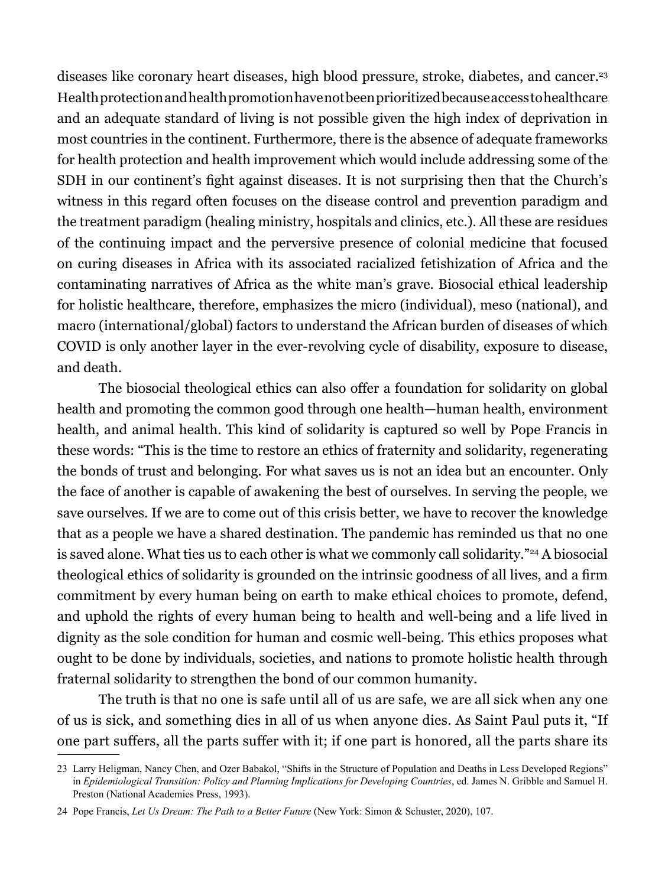diseases like coronary heart diseases, high blood pressure, stroke, diabetes, and cancer.<sup>23</sup> Health protection and health promotion have not been prioritized because access to healthcare and an adequate standard of living is not possible given the high index of deprivation in most countries in the continent. Furthermore, there is the absence of adequate frameworks for health protection and health improvement which would include addressing some of the SDH in our continent's fight against diseases. It is not surprising then that the Church's witness in this regard often focuses on the disease control and prevention paradigm and the treatment paradigm (healing ministry, hospitals and clinics, etc.). All these are residues of the continuing impact and the perversive presence of colonial medicine that focused on curing diseases in Africa with its associated racialized fetishization of Africa and the contaminating narratives of Africa as the white man's grave. Biosocial ethical leadership for holistic healthcare, therefore, emphasizes the micro (individual), meso (national), and macro (international/global) factors to understand the African burden of diseases of which COVID is only another layer in the ever-revolving cycle of disability, exposure to disease, and death.

The biosocial theological ethics can also offer a foundation for solidarity on global health and promoting the common good through one health—human health, environment health, and animal health. This kind of solidarity is captured so well by Pope Francis in these words: "This is the time to restore an ethics of fraternity and solidarity, regenerating the bonds of trust and belonging. For what saves us is not an idea but an encounter. Only the face of another is capable of awakening the best of ourselves. In serving the people, we save ourselves. If we are to come out of this crisis better, we have to recover the knowledge that as a people we have a shared destination. The pandemic has reminded us that no one is saved alone. What ties us to each other is what we commonly call solidarity."<sup>24</sup> A biosocial theological ethics of solidarity is grounded on the intrinsic goodness of all lives, and a firm commitment by every human being on earth to make ethical choices to promote, defend, and uphold the rights of every human being to health and well-being and a life lived in dignity as the sole condition for human and cosmic well-being. This ethics proposes what ought to be done by individuals, societies, and nations to promote holistic health through fraternal solidarity to strengthen the bond of our common humanity.

The truth is that no one is safe until all of us are safe, we are all sick when any one of us is sick, and something dies in all of us when anyone dies. As Saint Paul puts it, "If one part suffers, all the parts suffer with it; if one part is honored, all the parts share its

<sup>23</sup> Larry Heligman, Nancy Chen, and Ozer Babakol, "Shifts in the Structure of Population and Deaths in Less Developed Regions" in *Epidemiological Transition: Policy and Planning Implications for Developing Countries*, ed. James N. Gribble and Samuel H. Preston (National Academies Press, 1993).

<sup>24</sup> Pope Francis, *Let Us Dream: The Path to a Better Future* (New York: Simon & Schuster, 2020), 107.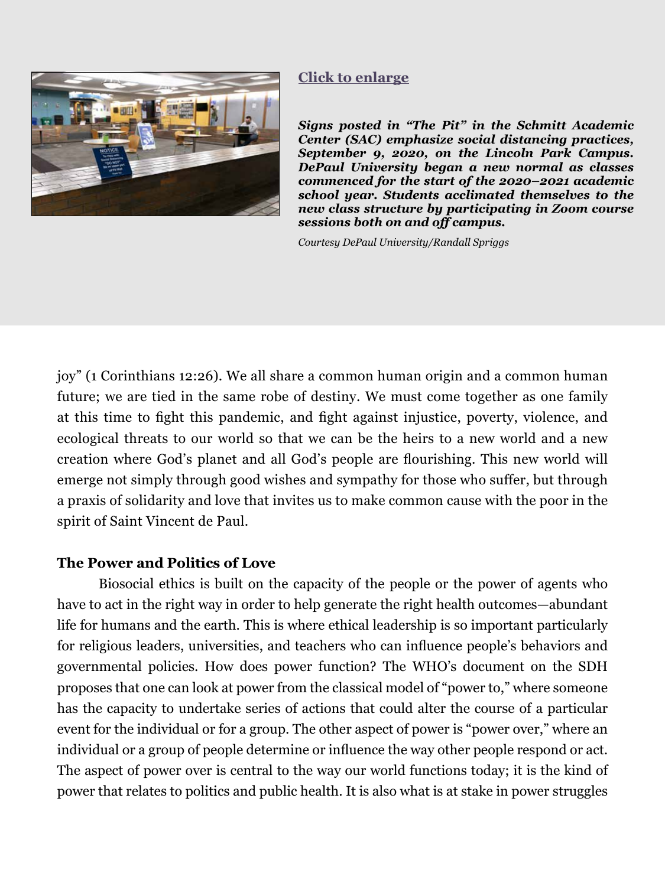<span id="page-12-0"></span>

#### **[Click to enlarge](#page-21-0)**

*Signs posted in "The Pit" in the Schmitt Academic Center (SAC) emphasize social distancing practices, September 9, 2020, on the Lincoln Park Campus. DePaul University began a new normal as classes commenced for the start of the 2020–2021 academic school year. Students acclimated themselves to the new class structure by participating in Zoom course sessions both on and off campus.* 

*Courtesy DePaul University/Randall Spriggs*

joy" (1 Corinthians 12:26). We all share a common human origin and a common human future; we are tied in the same robe of destiny. We must come together as one family at this time to fight this pandemic, and fight against injustice, poverty, violence, and ecological threats to our world so that we can be the heirs to a new world and a new creation where God's planet and all God's people are flourishing. This new world will emerge not simply through good wishes and sympathy for those who suffer, but through a praxis of solidarity and love that invites us to make common cause with the poor in the spirit of Saint Vincent de Paul.

#### **The Power and Politics of Love**

Biosocial ethics is built on the capacity of the people or the power of agents who have to act in the right way in order to help generate the right health outcomes—abundant life for humans and the earth. This is where ethical leadership is so important particularly for religious leaders, universities, and teachers who can influence people's behaviors and governmental policies. How does power function? The WHO's document on the SDH proposes that one can look at power from the classical model of "power to," where someone has the capacity to undertake series of actions that could alter the course of a particular event for the individual or for a group. The other aspect of power is "power over," where an individual or a group of people determine or influence the way other people respond or act. The aspect of power over is central to the way our world functions today; it is the kind of power that relates to politics and public health. It is also what is at stake in power struggles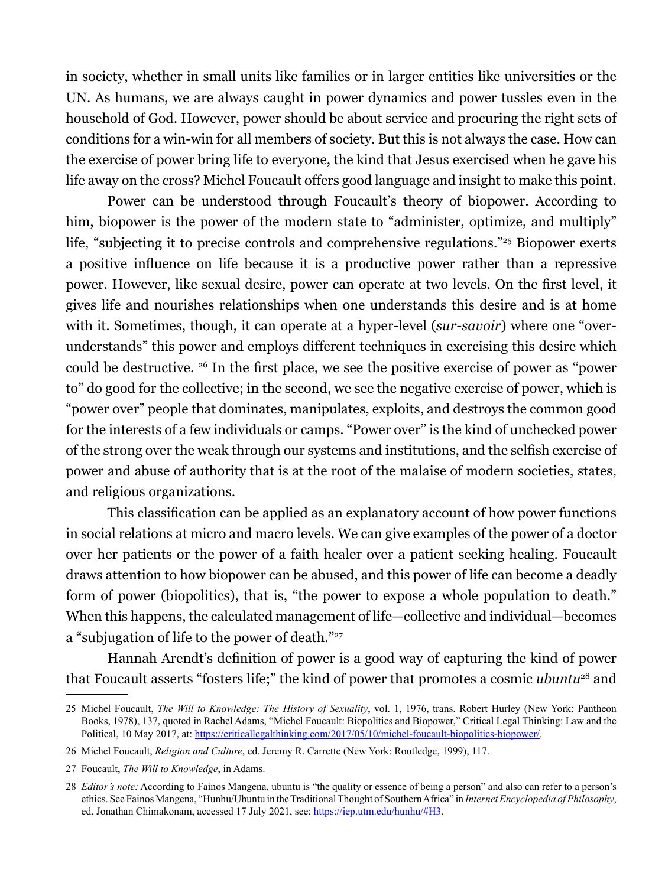in society, whether in small units like families or in larger entities like universities or the UN. As humans, we are always caught in power dynamics and power tussles even in the household of God. However, power should be about service and procuring the right sets of conditions for a win-win for all members of society. But this is not always the case. How can the exercise of power bring life to everyone, the kind that Jesus exercised when he gave his life away on the cross? Michel Foucault offers good language and insight to make this point.

Power can be understood through Foucault's theory of biopower. According to him, biopower is the power of the modern state to "administer, optimize, and multiply" life, "subjecting it to precise controls and comprehensive regulations."25 Biopower exerts a positive influence on life because it is a productive power rather than a repressive power. However, like sexual desire, power can operate at two levels. On the first level, it gives life and nourishes relationships when one understands this desire and is at home with it. Sometimes, though, it can operate at a hyper-level (*sur-savoir*) where one "overunderstands" this power and employs different techniques in exercising this desire which could be destructive. 26 In the first place, we see the positive exercise of power as "power to" do good for the collective; in the second, we see the negative exercise of power, which is "power over" people that dominates, manipulates, exploits, and destroys the common good for the interests of a few individuals or camps. "Power over" is the kind of unchecked power of the strong over the weak through our systems and institutions, and the selfish exercise of power and abuse of authority that is at the root of the malaise of modern societies, states, and religious organizations.

This classification can be applied as an explanatory account of how power functions in social relations at micro and macro levels. We can give examples of the power of a doctor over her patients or the power of a faith healer over a patient seeking healing. Foucault draws attention to how biopower can be abused, and this power of life can become a deadly form of power (biopolitics), that is, "the power to expose a whole population to death." When this happens, the calculated management of life—collective and individual—becomes a "subjugation of life to the power of death."27

Hannah Arendt's definition of power is a good way of capturing the kind of power that Foucault asserts "fosters life;" the kind of power that promotes a cosmic *ubuntu*28 and

<sup>25</sup> Michel Foucault, *The Will to Knowledge: The History of Sexuality*, vol. 1, 1976, trans. Robert Hurley (New York: Pantheon Books, 1978), 137, quoted in Rachel Adams, "Michel Foucault: Biopolitics and Biopower," Critical Legal Thinking: Law and the Political, 10 May 2017, at:<https://criticallegalthinking.com/2017/05/10/michel-foucault-biopolitics-biopower/>.

<sup>26</sup> Michel Foucault, *Religion and Culture*, ed. Jeremy R. Carrette (New York: Routledge, 1999), 117.

<sup>27</sup> Foucault, *The Will to Knowledge*, in Adams.

<sup>28</sup> *Editor's note:* According to Fainos Mangena, ubuntu is "the quality or essence of being a person" and also can refer to a person's ethics. See Fainos Mangena, "Hunhu/Ubuntu in the Traditional Thought of Southern Africa" in *Internet Encyclopedia of Philosophy*, ed. Jonathan Chimakonam, accessed 17 July 2021, see: [https://iep.utm.edu/hunhu/#H3.](https://iep.utm.edu/hunhu/#H3)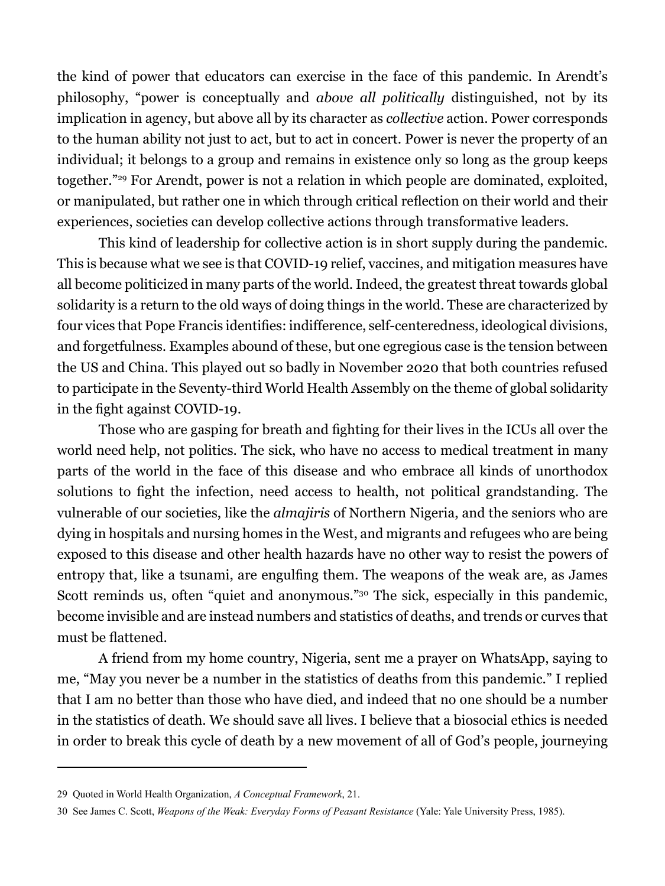the kind of power that educators can exercise in the face of this pandemic. In Arendt's philosophy, "power is conceptually and *above all politically* distinguished, not by its implication in agency, but above all by its character as *collective* action. Power corresponds to the human ability not just to act, but to act in concert. Power is never the property of an individual; it belongs to a group and remains in existence only so long as the group keeps together."29 For Arendt, power is not a relation in which people are dominated, exploited, or manipulated, but rather one in which through critical reflection on their world and their experiences, societies can develop collective actions through transformative leaders.

This kind of leadership for collective action is in short supply during the pandemic. This is because what we see is that COVID-19 relief, vaccines, and mitigation measures have all become politicized in many parts of the world. Indeed, the greatest threat towards global solidarity is a return to the old ways of doing things in the world. These are characterized by four vices that Pope Francis identifies: indifference, self-centeredness, ideological divisions, and forgetfulness. Examples abound of these, but one egregious case is the tension between the US and China. This played out so badly in November 2020 that both countries refused to participate in the Seventy-third World Health Assembly on the theme of global solidarity in the fight against COVID-19.

Those who are gasping for breath and fighting for their lives in the ICUs all over the world need help, not politics. The sick, who have no access to medical treatment in many parts of the world in the face of this disease and who embrace all kinds of unorthodox solutions to fight the infection, need access to health, not political grandstanding. The vulnerable of our societies, like the *almajiris* of Northern Nigeria, and the seniors who are dying in hospitals and nursing homes in the West, and migrants and refugees who are being exposed to this disease and other health hazards have no other way to resist the powers of entropy that, like a tsunami, are engulfing them. The weapons of the weak are, as James Scott reminds us, often "quiet and anonymous."<sup>30</sup> The sick, especially in this pandemic, become invisible and are instead numbers and statistics of deaths, and trends or curves that must be flattened.

A friend from my home country, Nigeria, sent me a prayer on WhatsApp, saying to me, "May you never be a number in the statistics of deaths from this pandemic." I replied that I am no better than those who have died, and indeed that no one should be a number in the statistics of death. We should save all lives. I believe that a biosocial ethics is needed in order to break this cycle of death by a new movement of all of God's people, journeying

<sup>29</sup> Quoted in World Health Organization, *A Conceptual Framework*, 21.

<sup>30</sup> See James C. Scott, *Weapons of the Weak: Everyday Forms of Peasant Resistance* (Yale: Yale University Press, 1985).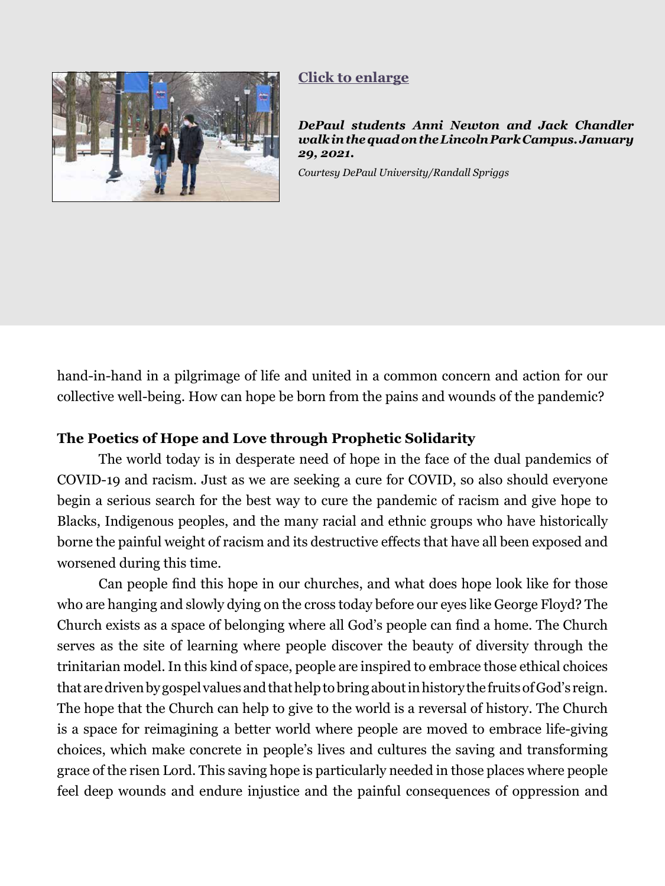<span id="page-15-0"></span>

### **[Click to enlarge](#page-22-0)**

*DePaul students Anni Newton and Jack Chandler walk in the quad on the Lincoln Park Campus. January 29, 2021.*

*Courtesy DePaul University/Randall Spriggs*

hand-in-hand in a pilgrimage of life and united in a common concern and action for our collective well-being. How can hope be born from the pains and wounds of the pandemic?

#### **The Poetics of Hope and Love through Prophetic Solidarity**

The world today is in desperate need of hope in the face of the dual pandemics of COVID-19 and racism. Just as we are seeking a cure for COVID, so also should everyone begin a serious search for the best way to cure the pandemic of racism and give hope to Blacks, Indigenous peoples, and the many racial and ethnic groups who have historically borne the painful weight of racism and its destructive effects that have all been exposed and worsened during this time.

Can people find this hope in our churches, and what does hope look like for those who are hanging and slowly dying on the cross today before our eyes like George Floyd? The Church exists as a space of belonging where all God's people can find a home. The Church serves as the site of learning where people discover the beauty of diversity through the trinitarian model. In this kind of space, people are inspired to embrace those ethical choices that are driven by gospel values and that help to bring about in history the fruits of God's reign. The hope that the Church can help to give to the world is a reversal of history. The Church is a space for reimagining a better world where people are moved to embrace life-giving choices, which make concrete in people's lives and cultures the saving and transforming grace of the risen Lord. This saving hope is particularly needed in those places where people feel deep wounds and endure injustice and the painful consequences of oppression and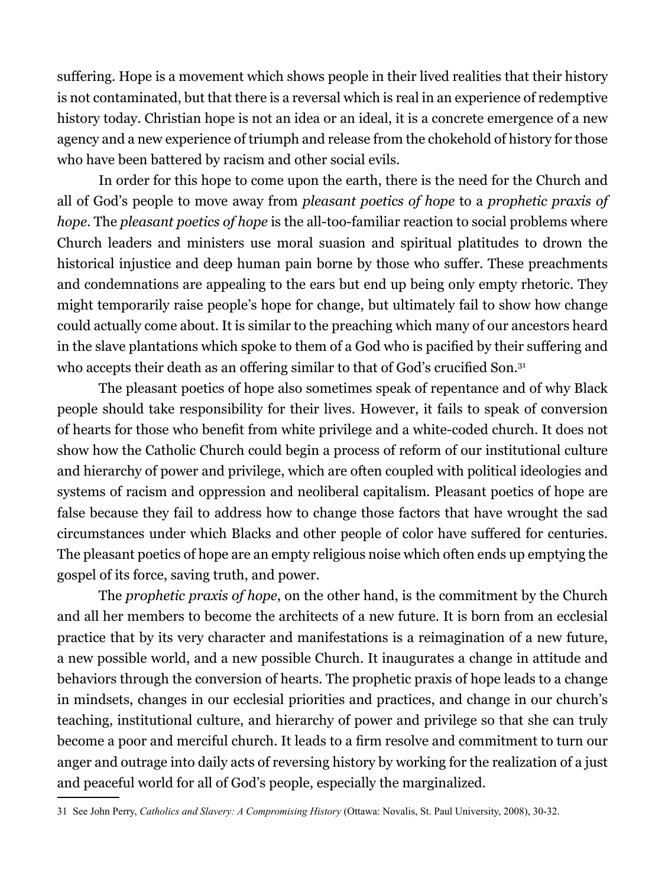suffering. Hope is a movement which shows people in their lived realities that their history is not contaminated, but that there is a reversal which is real in an experience of redemptive history today. Christian hope is not an idea or an ideal, it is a concrete emergence of a new agency and a new experience of triumph and release from the chokehold of history for those who have been battered by racism and other social evils.

In order for this hope to come upon the earth, there is the need for the Church and all of God's people to move away from *pleasant poetics of hope* to a *prophetic praxis of hope*. The *pleasant poetics of hope* is the all-too-familiar reaction to social problems where Church leaders and ministers use moral suasion and spiritual platitudes to drown the historical injustice and deep human pain borne by those who suffer. These preachments and condemnations are appealing to the ears but end up being only empty rhetoric. They might temporarily raise people's hope for change, but ultimately fail to show how change could actually come about. It is similar to the preaching which many of our ancestors heard in the slave plantations which spoke to them of a God who is pacified by their suffering and who accepts their death as an offering similar to that of God's crucified Son.<sup>31</sup>

The pleasant poetics of hope also sometimes speak of repentance and of why Black people should take responsibility for their lives. However, it fails to speak of conversion of hearts for those who benefit from white privilege and a white-coded church. It does not show how the Catholic Church could begin a process of reform of our institutional culture and hierarchy of power and privilege, which are often coupled with political ideologies and systems of racism and oppression and neoliberal capitalism. Pleasant poetics of hope are false because they fail to address how to change those factors that have wrought the sad circumstances under which Blacks and other people of color have suffered for centuries. The pleasant poetics of hope are an empty religious noise which often ends up emptying the gospel of its force, saving truth, and power.

The *prophetic praxis of hope*, on the other hand, is the commitment by the Church and all her members to become the architects of a new future. It is born from an ecclesial practice that by its very character and manifestations is a reimagination of a new future, a new possible world, and a new possible Church. It inaugurates a change in attitude and behaviors through the conversion of hearts. The prophetic praxis of hope leads to a change in mindsets, changes in our ecclesial priorities and practices, and change in our church's teaching, institutional culture, and hierarchy of power and privilege so that she can truly become a poor and merciful church. It leads to a firm resolve and commitment to turn our anger and outrage into daily acts of reversing history by working for the realization of a just and peaceful world for all of God's people, especially the marginalized.

<sup>31</sup> See John Perry, *Catholics and Slavery: A Compromising History* (Ottawa: Novalis, St. Paul University, 2008), 30-32.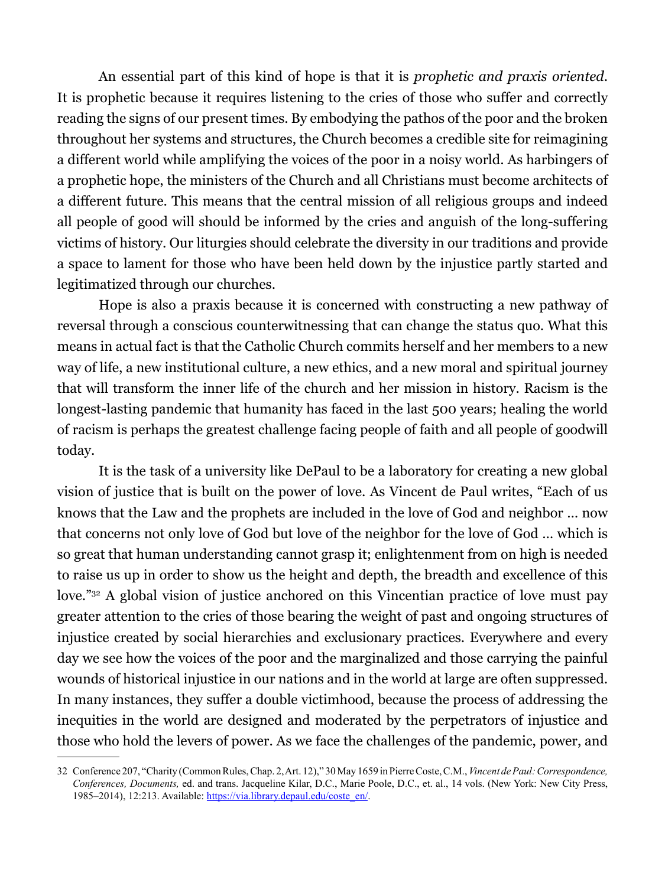An essential part of this kind of hope is that it is *prophetic and praxis oriented*. It is prophetic because it requires listening to the cries of those who suffer and correctly reading the signs of our present times. By embodying the pathos of the poor and the broken throughout her systems and structures, the Church becomes a credible site for reimagining a different world while amplifying the voices of the poor in a noisy world. As harbingers of a prophetic hope, the ministers of the Church and all Christians must become architects of a different future. This means that the central mission of all religious groups and indeed all people of good will should be informed by the cries and anguish of the long-suffering victims of history. Our liturgies should celebrate the diversity in our traditions and provide a space to lament for those who have been held down by the injustice partly started and legitimatized through our churches.

Hope is also a praxis because it is concerned with constructing a new pathway of reversal through a conscious counterwitnessing that can change the status quo. What this means in actual fact is that the Catholic Church commits herself and her members to a new way of life, a new institutional culture, a new ethics, and a new moral and spiritual journey that will transform the inner life of the church and her mission in history. Racism is the longest-lasting pandemic that humanity has faced in the last 500 years; healing the world of racism is perhaps the greatest challenge facing people of faith and all people of goodwill today.

It is the task of a university like DePaul to be a laboratory for creating a new global vision of justice that is built on the power of love. As Vincent de Paul writes, "Each of us knows that the Law and the prophets are included in the love of God and neighbor … now that concerns not only love of God but love of the neighbor for the love of God … which is so great that human understanding cannot grasp it; enlightenment from on high is needed to raise us up in order to show us the height and depth, the breadth and excellence of this love."<sup>32</sup> A global vision of justice anchored on this Vincentian practice of love must pay greater attention to the cries of those bearing the weight of past and ongoing structures of injustice created by social hierarchies and exclusionary practices. Everywhere and every day we see how the voices of the poor and the marginalized and those carrying the painful wounds of historical injustice in our nations and in the world at large are often suppressed. In many instances, they suffer a double victimhood, because the process of addressing the inequities in the world are designed and moderated by the perpetrators of injustice and those who hold the levers of power. As we face the challenges of the pandemic, power, and

<sup>32</sup> Conference 207, "Charity (Common Rules, Chap. 2, Art. 12)," 30 May 1659 in Pierre Coste, C.M., *Vincent de Paul: Correspondence, Conferences, Documents,* ed. and trans. Jacqueline Kilar, D.C., Marie Poole, D.C., et. al., 14 vols. (New York: New City Press, 1985–2014), 12:213. Available: [https://via.library.depaul.edu/coste\\_en/.](https://via.library.depaul.edu/coste_en/)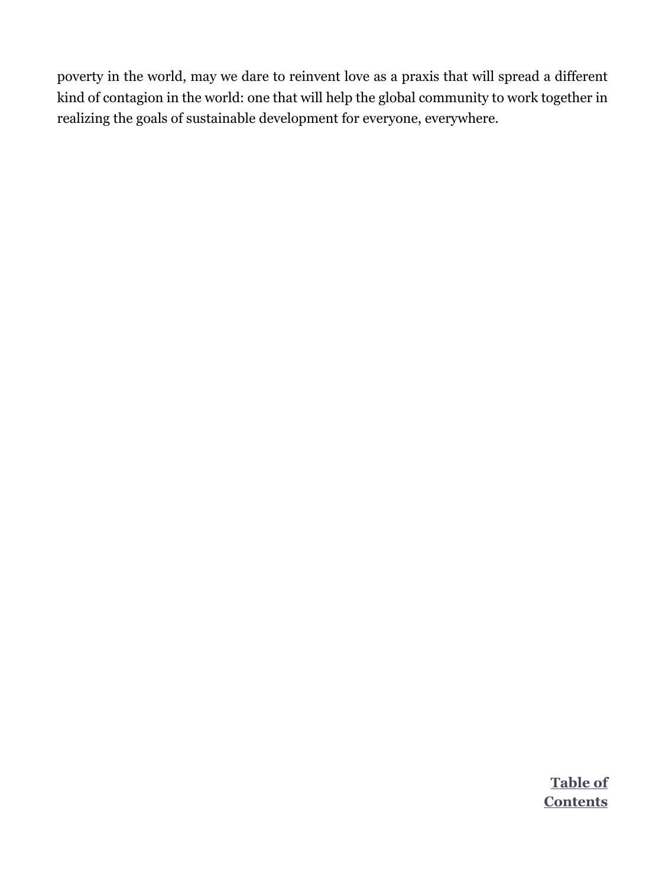poverty in the world, may we dare to reinvent love as a praxis that will spread a different kind of contagion in the world: one that will help the global community to work together in realizing the goals of sustainable development for everyone, everywhere.

> **Table of [Contents](#page--1-0)**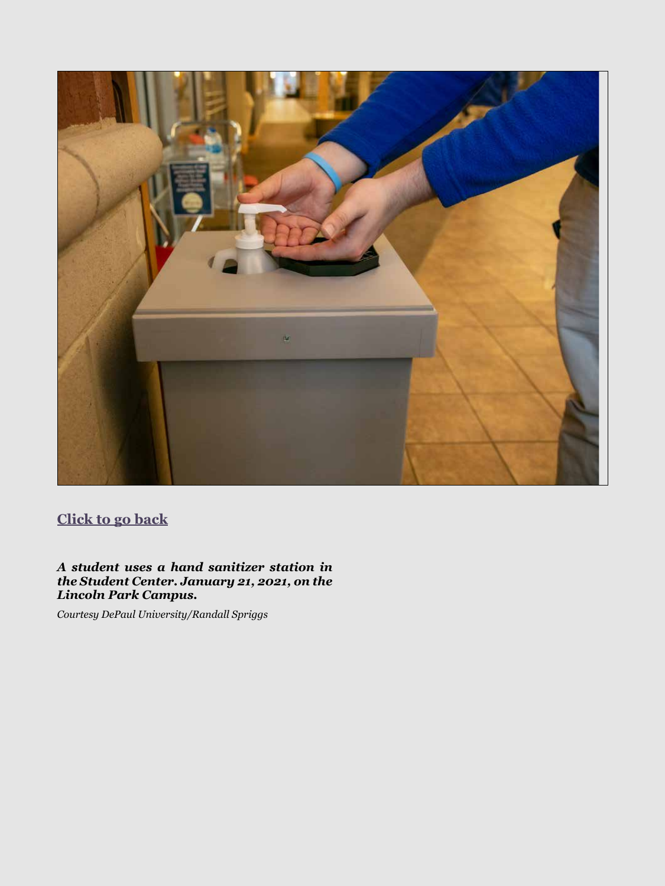<span id="page-19-0"></span>

*A student uses a hand sanitizer station in the Student Center. January 21, 2021, on the Lincoln Park Campus.* 

*Courtesy DePaul University/Randall Spriggs*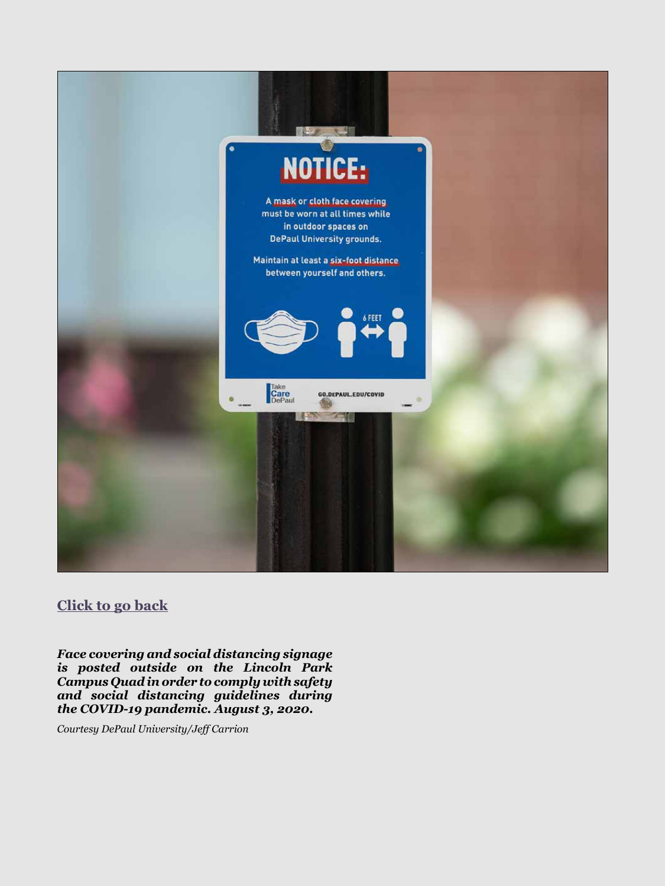<span id="page-20-0"></span>

*Face covering and social distancing signage is posted outside on the Lincoln Park Campus Quad in order to comply with safety and social distancing guidelines during the COVID-19 pandemic. August 3, 2020.* 

*Courtesy DePaul University/Jeff Carrion*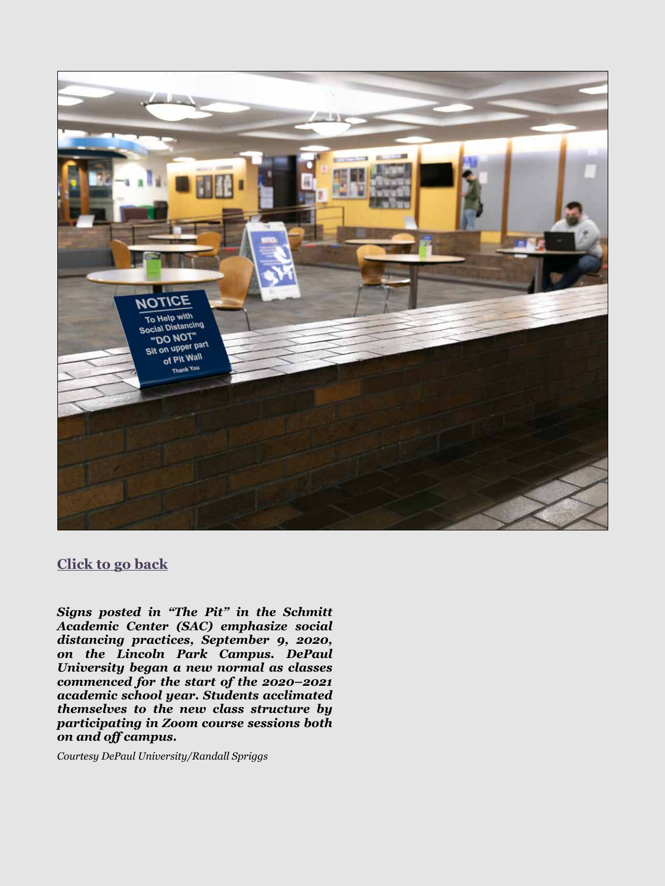<span id="page-21-0"></span>

*Signs posted in "The Pit" in the Schmitt Academic Center (SAC) emphasize social distancing practices, September 9, 2020, on the Lincoln Park Campus. DePaul University began a new normal as classes commenced for the start of the 2020–2021 academic school year. Students acclimated themselves to the new class structure by participating in Zoom course sessions both on and off campus.* 

*Courtesy DePaul University/Randall Spriggs*